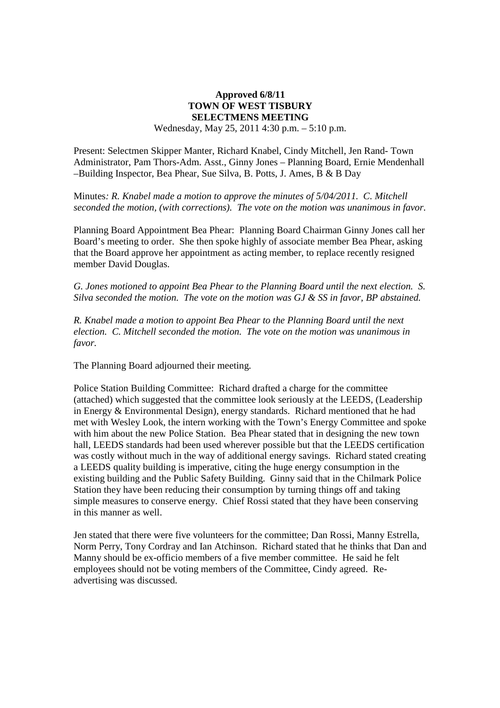## **Approved 6/8/11 TOWN OF WEST TISBURY SELECTMENS MEETING**  Wednesday, May 25, 2011 4:30 p.m. – 5:10 p.m.

Present: Selectmen Skipper Manter, Richard Knabel, Cindy Mitchell, Jen Rand- Town Administrator, Pam Thors-Adm. Asst., Ginny Jones – Planning Board, Ernie Mendenhall –Building Inspector, Bea Phear, Sue Silva, B. Potts, J. Ames, B & B Day

Minutes*: R. Knabel made a motion to approve the minutes of 5/04/2011. C. Mitchell seconded the motion, (with corrections). The vote on the motion was unanimous in favor.* 

Planning Board Appointment Bea Phear: Planning Board Chairman Ginny Jones call her Board's meeting to order. She then spoke highly of associate member Bea Phear, asking that the Board approve her appointment as acting member, to replace recently resigned member David Douglas.

*G. Jones motioned to appoint Bea Phear to the Planning Board until the next election. S. Silva seconded the motion. The vote on the motion was GJ & SS in favor, BP abstained.* 

*R. Knabel made a motion to appoint Bea Phear to the Planning Board until the next election. C. Mitchell seconded the motion. The vote on the motion was unanimous in favor.* 

The Planning Board adjourned their meeting.

Police Station Building Committee: Richard drafted a charge for the committee (attached) which suggested that the committee look seriously at the LEEDS, (Leadership in Energy & Environmental Design), energy standards. Richard mentioned that he had met with Wesley Look, the intern working with the Town's Energy Committee and spoke with him about the new Police Station. Bea Phear stated that in designing the new town hall, LEEDS standards had been used wherever possible but that the LEEDS certification was costly without much in the way of additional energy savings. Richard stated creating a LEEDS quality building is imperative, citing the huge energy consumption in the existing building and the Public Safety Building. Ginny said that in the Chilmark Police Station they have been reducing their consumption by turning things off and taking simple measures to conserve energy. Chief Rossi stated that they have been conserving in this manner as well.

Jen stated that there were five volunteers for the committee; Dan Rossi, Manny Estrella, Norm Perry, Tony Cordray and Ian Atchinson. Richard stated that he thinks that Dan and Manny should be ex-officio members of a five member committee. He said he felt employees should not be voting members of the Committee, Cindy agreed. Readvertising was discussed.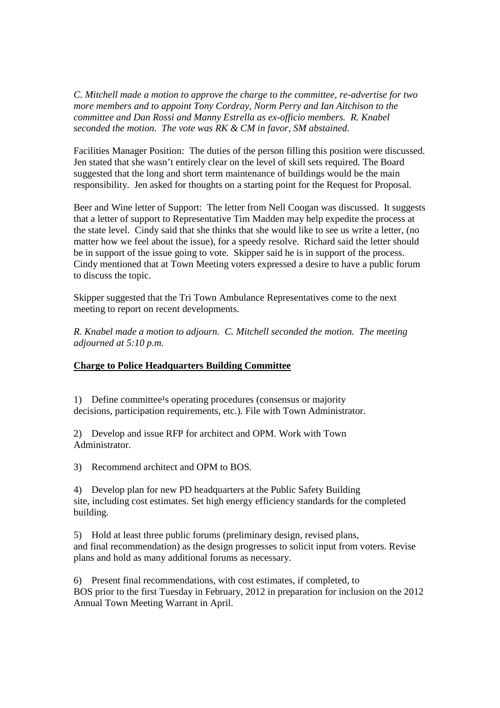*C. Mitchell made a motion to approve the charge to the committee, re-advertise for two more members and to appoint Tony Cordray, Norm Perry and Ian Aitchison to the committee and Dan Rossi and Manny Estrella as ex-officio members. R. Knabel seconded the motion. The vote was RK & CM in favor, SM abstained.* 

Facilities Manager Position: The duties of the person filling this position were discussed. Jen stated that she wasn't entirely clear on the level of skill sets required. The Board suggested that the long and short term maintenance of buildings would be the main responsibility. Jen asked for thoughts on a starting point for the Request for Proposal.

Beer and Wine letter of Support: The letter from Nell Coogan was discussed. It suggests that a letter of support to Representative Tim Madden may help expedite the process at the state level. Cindy said that she thinks that she would like to see us write a letter, (no matter how we feel about the issue), for a speedy resolve. Richard said the letter should be in support of the issue going to vote. Skipper said he is in support of the process. Cindy mentioned that at Town Meeting voters expressed a desire to have a public forum to discuss the topic.

Skipper suggested that the Tri Town Ambulance Representatives come to the next meeting to report on recent developments.

*R. Knabel made a motion to adjourn. C. Mitchell seconded the motion. The meeting adjourned at 5:10 p.m.* 

## **Charge to Police Headquarters Building Committee**

1) Define committee's operating procedures (consensus or majority decisions, participation requirements, etc.). File with Town Administrator.

2) Develop and issue RFP for architect and OPM. Work with Town Administrator.

3) Recommend architect and OPM to BOS.

4) Develop plan for new PD headquarters at the Public Safety Building site, including cost estimates. Set high energy efficiency standards for the completed building.

5) Hold at least three public forums (preliminary design, revised plans, and final recommendation) as the design progresses to solicit input from voters. Revise plans and hold as many additional forums as necessary.

6) Present final recommendations, with cost estimates, if completed, to BOS prior to the first Tuesday in February, 2012 in preparation for inclusion on the 2012 Annual Town Meeting Warrant in April.